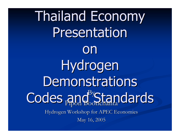**Thailand Economy** Presentation on Hydrogen Demonstrations Codes and Standards Hydrogen Workshop for APEC Economies Hydrogen Workshop for APEC Economies May 16, 2005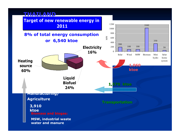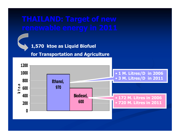

#### **1,570 ktoe as Liquid Biofuel**

#### **for Transpo rtation and Agriculture**

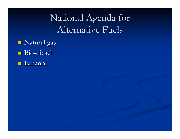# National Agenda for Alternative Fuels

- $\blacksquare$  Natural gas
- Bio-diesel
- $\blacksquare$  Ethanol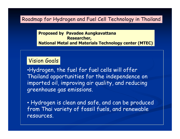#### Roadmap for Hydrogen and Fuel Cell Technology in Thailand

**Proposed by Pavadee Aungkavattana Researcher, National Metal and Materials Technology center (MTEC)**

### Vision Goals

•Hydrogen, the fuel for fuel cells will offer Thailand opportunities for the independence on imported oil, improving air quality, and reducing greenhouse gas emissions.

• Hydrogen is clean and safe, and can be produced from Thai variety of fossil fuels, and renewable resources.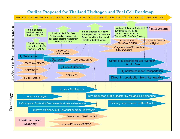#### **Outline Proposed for Thailand Hydrogen and Fuel Cell Roadmap**

2005 2006 2007 2008 2009 2010 2011 2012 2013 2014 2015 2016 2017 2018 2019 2020 2021 2022 20232024 2025 2026 2027 2028 2029 2030

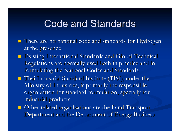# **Code and Standards**

- $\blacksquare$  There are no national code and standards for Hydrogen at the presence
- **Existing International Standards and Global Technical** Regulations are normally used both in practice and in formulating the National Codes and Standards
- **Thai Industrial Standard Institute (TISI), under the** Ministry of Industries, is primarily the responsible organization for standard formulation, specially for industrial products
- **Other related organizations are the Land Transport** Department and the Department of Energy Business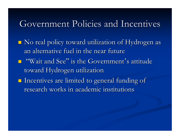### Government Policies and Incentives

 $\blacksquare$  No real policy toward utilization of Hydrogen as an alternative fuel in the near future  $\blacksquare$  "Wait and See" is the Government's attitude toward Hydrogen utilization  $\blacksquare$  Incentives are limited to general funding of research works in academic institutions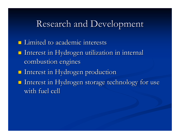### Research and Development

- $\blacksquare$  Limited to academic interests
- $\blacksquare$  Interest in Hydrogen utilization in internal combustion engines
- **Interest in Hydrogen production**
- Interest in Hydrogen storage technology for use Interest in Hydrogen storage technology for use with fuel cell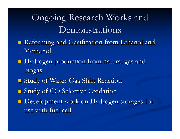# Ongoing Research Works and **Demonstrations**

- Reforming and Gasification from Ethanol and Reforming and Gasification from Ethanol and Methanol Methanol
- $\blacksquare$  Hydrogen production from natural gas and biogas
- **Study of Water-Gas Shift Reaction**
- **Study of CO Selective Oxidation**
- Development work on Hydrogen storages for Development work on Hydrogen storages for use with fuel cell